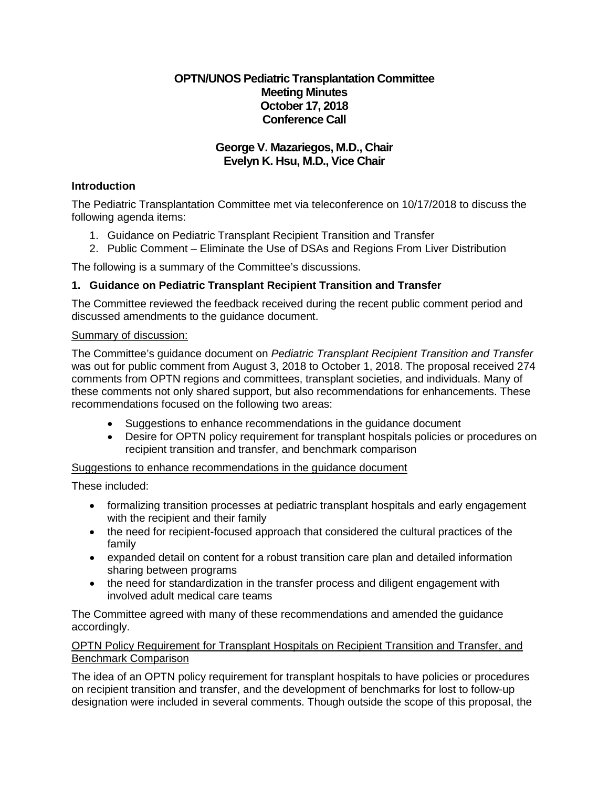# **OPTN/UNOS Pediatric Transplantation Committee Meeting Minutes October 17, 2018 Conference Call**

# **George V. Mazariegos, M.D., Chair Evelyn K. Hsu, M.D., Vice Chair**

# **Introduction**

The Pediatric Transplantation Committee met via teleconference on 10/17/2018 to discuss the following agenda items:

- 1. Guidance on Pediatric Transplant Recipient Transition and Transfer
- 2. Public Comment Eliminate the Use of DSAs and Regions From Liver Distribution

The following is a summary of the Committee's discussions.

# **1. Guidance on Pediatric Transplant Recipient Transition and Transfer**

The Committee reviewed the feedback received during the recent public comment period and discussed amendments to the guidance document.

### Summary of discussion:

The Committee's guidance document on *Pediatric Transplant Recipient Transition and Transfer* was out for public comment from August 3, 2018 to October 1, 2018. The proposal received 274 comments from OPTN regions and committees, transplant societies, and individuals. Many of these comments not only shared support, but also recommendations for enhancements. These recommendations focused on the following two areas:

- Suggestions to enhance recommendations in the guidance document
- Desire for OPTN policy requirement for transplant hospitals policies or procedures on recipient transition and transfer, and benchmark comparison

Suggestions to enhance recommendations in the guidance document

These included:

- formalizing transition processes at pediatric transplant hospitals and early engagement with the recipient and their family
- the need for recipient-focused approach that considered the cultural practices of the family
- expanded detail on content for a robust transition care plan and detailed information sharing between programs
- the need for standardization in the transfer process and diligent engagement with involved adult medical care teams

The Committee agreed with many of these recommendations and amended the guidance accordingly.

### OPTN Policy Requirement for Transplant Hospitals on Recipient Transition and Transfer, and Benchmark Comparison

The idea of an OPTN policy requirement for transplant hospitals to have policies or procedures on recipient transition and transfer, and the development of benchmarks for lost to follow-up designation were included in several comments. Though outside the scope of this proposal, the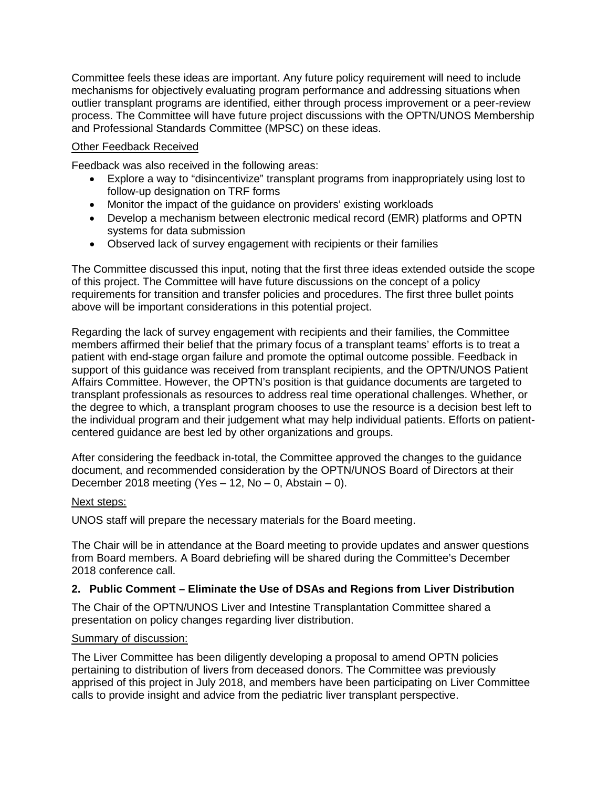Committee feels these ideas are important. Any future policy requirement will need to include mechanisms for objectively evaluating program performance and addressing situations when outlier transplant programs are identified, either through process improvement or a peer-review process. The Committee will have future project discussions with the OPTN/UNOS Membership and Professional Standards Committee (MPSC) on these ideas.

## Other Feedback Received

Feedback was also received in the following areas:

- Explore a way to "disincentivize" transplant programs from inappropriately using lost to follow-up designation on TRF forms
- Monitor the impact of the guidance on providers' existing workloads
- Develop a mechanism between electronic medical record (EMR) platforms and OPTN systems for data submission
- Observed lack of survey engagement with recipients or their families

The Committee discussed this input, noting that the first three ideas extended outside the scope of this project. The Committee will have future discussions on the concept of a policy requirements for transition and transfer policies and procedures. The first three bullet points above will be important considerations in this potential project.

Regarding the lack of survey engagement with recipients and their families, the Committee members affirmed their belief that the primary focus of a transplant teams' efforts is to treat a patient with end-stage organ failure and promote the optimal outcome possible. Feedback in support of this guidance was received from transplant recipients, and the OPTN/UNOS Patient Affairs Committee. However, the OPTN's position is that guidance documents are targeted to transplant professionals as resources to address real time operational challenges. Whether, or the degree to which, a transplant program chooses to use the resource is a decision best left to the individual program and their judgement what may help individual patients. Efforts on patientcentered guidance are best led by other organizations and groups.

After considering the feedback in-total, the Committee approved the changes to the guidance document, and recommended consideration by the OPTN/UNOS Board of Directors at their December 2018 meeting (Yes  $-$  12, No  $-$  0, Abstain  $-$  0).

#### Next steps:

UNOS staff will prepare the necessary materials for the Board meeting.

The Chair will be in attendance at the Board meeting to provide updates and answer questions from Board members. A Board debriefing will be shared during the Committee's December 2018 conference call.

## **2. Public Comment – Eliminate the Use of DSAs and Regions from Liver Distribution**

The Chair of the OPTN/UNOS Liver and Intestine Transplantation Committee shared a presentation on policy changes regarding liver distribution.

#### Summary of discussion:

The Liver Committee has been diligently developing a proposal to amend OPTN policies pertaining to distribution of livers from deceased donors. The Committee was previously apprised of this project in July 2018, and members have been participating on Liver Committee calls to provide insight and advice from the pediatric liver transplant perspective.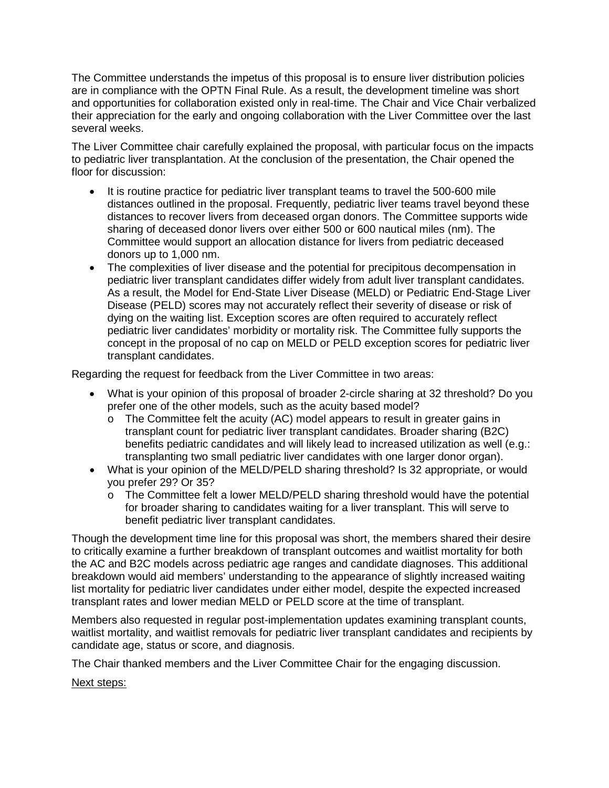The Committee understands the impetus of this proposal is to ensure liver distribution policies are in compliance with the OPTN Final Rule. As a result, the development timeline was short and opportunities for collaboration existed only in real-time. The Chair and Vice Chair verbalized their appreciation for the early and ongoing collaboration with the Liver Committee over the last several weeks.

The Liver Committee chair carefully explained the proposal, with particular focus on the impacts to pediatric liver transplantation. At the conclusion of the presentation, the Chair opened the floor for discussion:

- It is routine practice for pediatric liver transplant teams to travel the 500-600 mile distances outlined in the proposal. Frequently, pediatric liver teams travel beyond these distances to recover livers from deceased organ donors. The Committee supports wide sharing of deceased donor livers over either 500 or 600 nautical miles (nm). The Committee would support an allocation distance for livers from pediatric deceased donors up to 1,000 nm.
- The complexities of liver disease and the potential for precipitous decompensation in pediatric liver transplant candidates differ widely from adult liver transplant candidates. As a result, the Model for End-State Liver Disease (MELD) or Pediatric End-Stage Liver Disease (PELD) scores may not accurately reflect their severity of disease or risk of dying on the waiting list. Exception scores are often required to accurately reflect pediatric liver candidates' morbidity or mortality risk. The Committee fully supports the concept in the proposal of no cap on MELD or PELD exception scores for pediatric liver transplant candidates.

Regarding the request for feedback from the Liver Committee in two areas:

- What is your opinion of this proposal of broader 2-circle sharing at 32 threshold? Do you prefer one of the other models, such as the acuity based model?
	- $\circ$  The Committee felt the acuity (AC) model appears to result in greater gains in transplant count for pediatric liver transplant candidates. Broader sharing (B2C) benefits pediatric candidates and will likely lead to increased utilization as well (e.g.: transplanting two small pediatric liver candidates with one larger donor organ).
- What is your opinion of the MELD/PELD sharing threshold? Is 32 appropriate, or would you prefer 29? Or 35?
	- $\circ$  The Committee felt a lower MELD/PELD sharing threshold would have the potential for broader sharing to candidates waiting for a liver transplant. This will serve to benefit pediatric liver transplant candidates.

Though the development time line for this proposal was short, the members shared their desire to critically examine a further breakdown of transplant outcomes and waitlist mortality for both the AC and B2C models across pediatric age ranges and candidate diagnoses. This additional breakdown would aid members' understanding to the appearance of slightly increased waiting list mortality for pediatric liver candidates under either model, despite the expected increased transplant rates and lower median MELD or PELD score at the time of transplant.

Members also requested in regular post-implementation updates examining transplant counts, waitlist mortality, and waitlist removals for pediatric liver transplant candidates and recipients by candidate age, status or score, and diagnosis.

The Chair thanked members and the Liver Committee Chair for the engaging discussion.

Next steps: